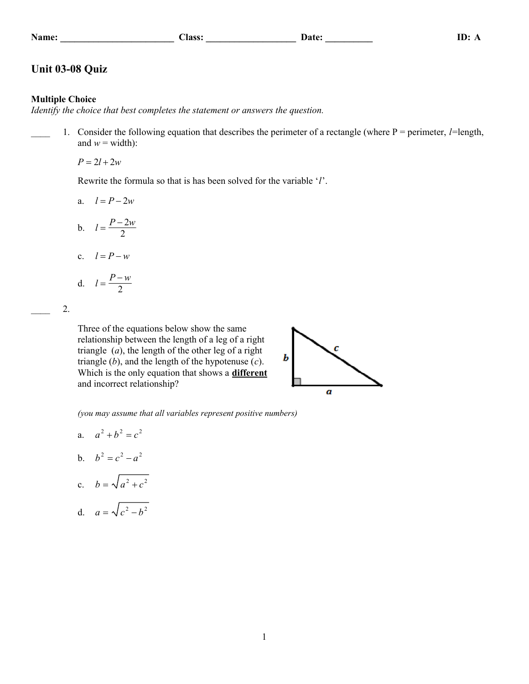|  | .ame |  |
|--|------|--|
|  |      |  |

## **Name:** <u>Name: Class: Class: Class: Class: Class: Class: Class: Class: Class: Class: Class: Class: Class: Class: Class: Class: Class: Class: Class: Class: Class: Class: Class: Class: Class: Class: Class: Class: Class: Clas</u>

## **Unit 03-08 Quiz**

## **Multiple Choice**

*Identify the choice that best completes the statement or answers the question.*

\_\_\_\_ 1. Consider the following equation that describes the perimeter of a rectangle (where P = perimeter, *l*=length, and  $w = \text{width}$ :

 $P = 2l + 2w$ 

Rewrite the formula so that is has been solved for the variable '*l*'.

$$
a. \quad l = P - 2w
$$

$$
b. \quad l = \frac{P - 2w}{2}
$$

c.  $l = P - w$ 

d. 
$$
l = \frac{P - w}{2}
$$

\_\_\_\_ 2.

Three of the equations below show the same relationship between the length of a leg of a right triangle (*a*), the length of the other leg of a right triangle (*b*), and the length of the hypotenuse (*c*). Which is the only equation that shows a **different** and incorrect relationship?



*(you may assume that all variables represent positive numbers)*

- a.  $a^2 + b^2 = c^2$
- b.  $b^2 = c^2 a^2$
- c.  $b = \sqrt{a^2 + c^2}$

d. 
$$
a = \sqrt{c^2 - b^2}
$$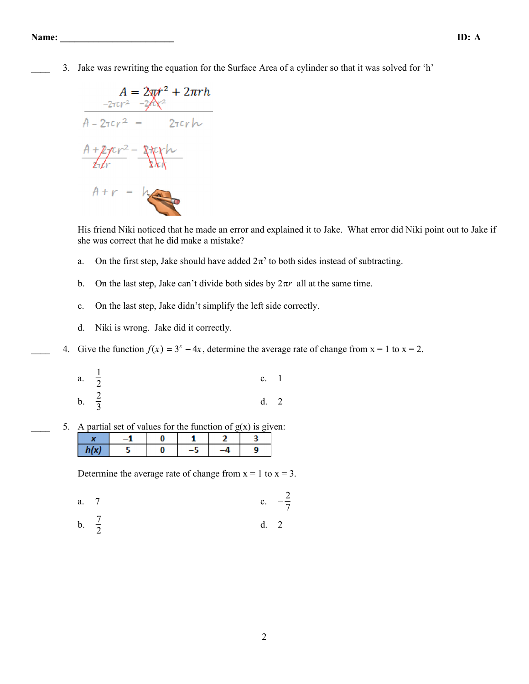\_\_\_\_ 3. Jake was rewriting the equation for the Surface Area of a cylinder so that it was solved for 'h'

$$
A = 2\pi r^2 + 2\pi rh
$$
  
\n
$$
A = 2\pi r^2 + 2\pi rh
$$
  
\n
$$
A = 2\pi r^2 - 2\pi rh
$$
  
\n
$$
A + 2\pi r^2 = 2\pi rh
$$
  
\n
$$
A + r = h
$$

His friend Niki noticed that he made an error and explained it to Jake. What error did Niki point out to Jake if she was correct that he did make a mistake?

- a. On the first step, Jake should have added  $2\pi^2$  to both sides instead of subtracting.
- b. On the last step, Jake can't divide both sides by  $2\pi r$  all at the same time.
- c. On the last step, Jake didn't simplify the left side correctly.
- d. Niki is wrong. Jake did it correctly.
- 4. Give the function  $f(x) = 3^x 4x$ , determine the average rate of change from  $x = 1$  to  $x = 2$ .
	- a.  $\frac{1}{2}$  $\frac{1}{2}$  c. 1 b.  $\frac{2}{3}$  $\frac{2}{3}$  d. 2
- 5. A partial set of values for the function of  $g(x)$  is given:

| ш |  |  |  |
|---|--|--|--|

Determine the average rate of change from  $x = 1$  to  $x = 3$ .

a. 7 c. 
$$
-\frac{2}{7}
$$

b.  $\frac{7}{2}$  $\frac{7}{2}$  d. 2